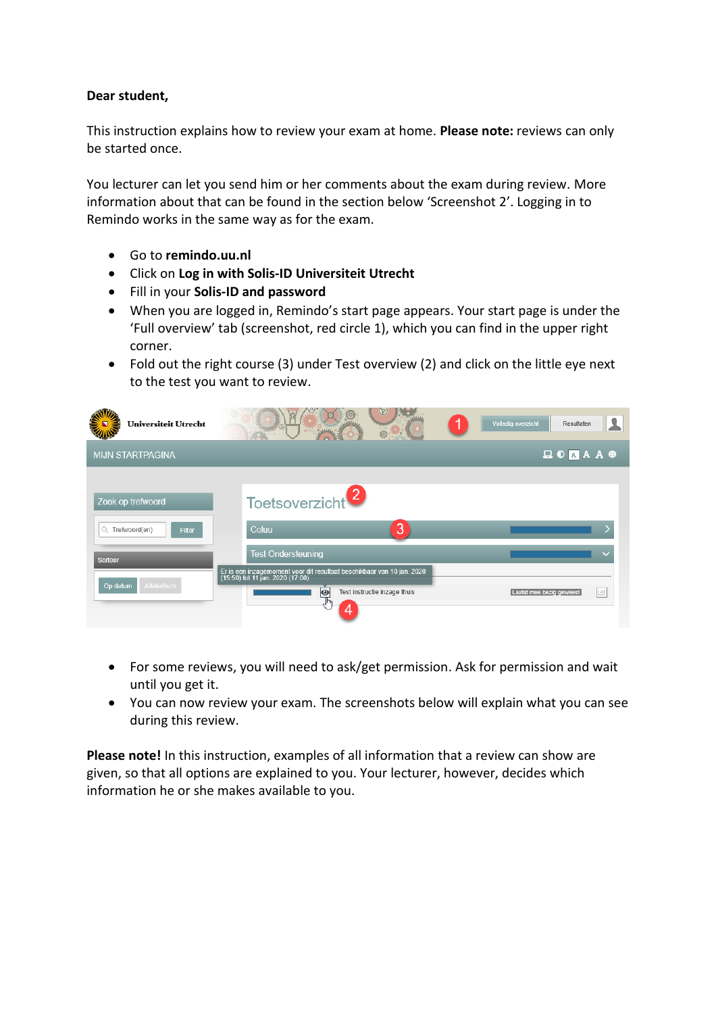# **Dear student,**

This instruction explains how to review your exam at home. **Please note:** reviews can only be started once.

You lecturer can let you send him or her comments about the exam during review. More information about that can be found in the section below 'Screenshot 2'. Logging in to Remindo works in the same way as for the exam.

- Go to **remindo.uu.nl**
- Click on **Log in with Solis-ID Universiteit Utrecht**
- Fill in your **Solis-ID and password**
- When you are logged in, Remindo's start page appears. Your start page is under the 'Full overview' tab (screenshot, red circle 1), which you can find in the upper right corner.
- Fold out the right course (3) under Test overview (2) and click on the little eye next to the test you want to review.

| <b>Universiteit Utrecht</b>                                    | $\leftarrow$<br>$\ddot{\circ}$                                                                                                                               | Volledig overzicht<br>Resultaten                                                                                                                                                                                                                                                                                                                                                                                                                                                                                                                                                                           |
|----------------------------------------------------------------|--------------------------------------------------------------------------------------------------------------------------------------------------------------|------------------------------------------------------------------------------------------------------------------------------------------------------------------------------------------------------------------------------------------------------------------------------------------------------------------------------------------------------------------------------------------------------------------------------------------------------------------------------------------------------------------------------------------------------------------------------------------------------------|
| <b>MIJN STARTPAGINA</b>                                        |                                                                                                                                                              | $\begin{tabular}{l} \hline \end{tabular} \begin{tabular}{l} \hline $\bullet$ & $\bullet$ \\ \hline \end{tabular} \begin{tabular}{l} \hline $\bullet$ & $\bullet$ \\ \hline $\bullet$ & $\bullet$ \\ \hline \end{tabular} \begin{tabular}{l} \hline $\bullet$ & $\bullet$ \\ \hline $\bullet$ & $\bullet$ \\ \hline $\bullet$ & $\bullet$ \\ \hline \end{tabular} \begin{tabular}{l} \hline $\bullet$ & $\bullet$ \\ \hline $\bullet$ & $\bullet$ \\ \hline $\bullet$ & $\bullet$ \\ \hline \end{tabular} \end{tabular} \begin{tabular}{l} \hline $\bullet$ & $\bullet$ \\ \hline $\bullet$ & $\bullet$ \\$ |
| Zoek op trefwoord<br>1Q.<br>Trefwoord(en)<br>Filter<br>Sorteer | Toetsoverzicht <sup>2</sup><br>3<br>Coluu<br><b>Test Ondersteuning</b>                                                                                       |                                                                                                                                                                                                                                                                                                                                                                                                                                                                                                                                                                                                            |
| <b>Alfabetisch</b><br>Op datum                                 | Er is een inzagemoment voor dit resultaat beschikbaar van 10 jan. 2020<br>(15:50) tot 11 jan. 2020 (17:00)<br>$\bullet$<br>Test instructie inzage thuis<br>4 | $ $ dil<br>Laatst mee bezig geweest                                                                                                                                                                                                                                                                                                                                                                                                                                                                                                                                                                        |

- For some reviews, you will need to ask/get permission. Ask for permission and wait until you get it.
- You can now review your exam. The screenshots below will explain what you can see during this review.

**Please note!** In this instruction, examples of all information that a review can show are given, so that all options are explained to you. Your lecturer, however, decides which information he or she makes available to you.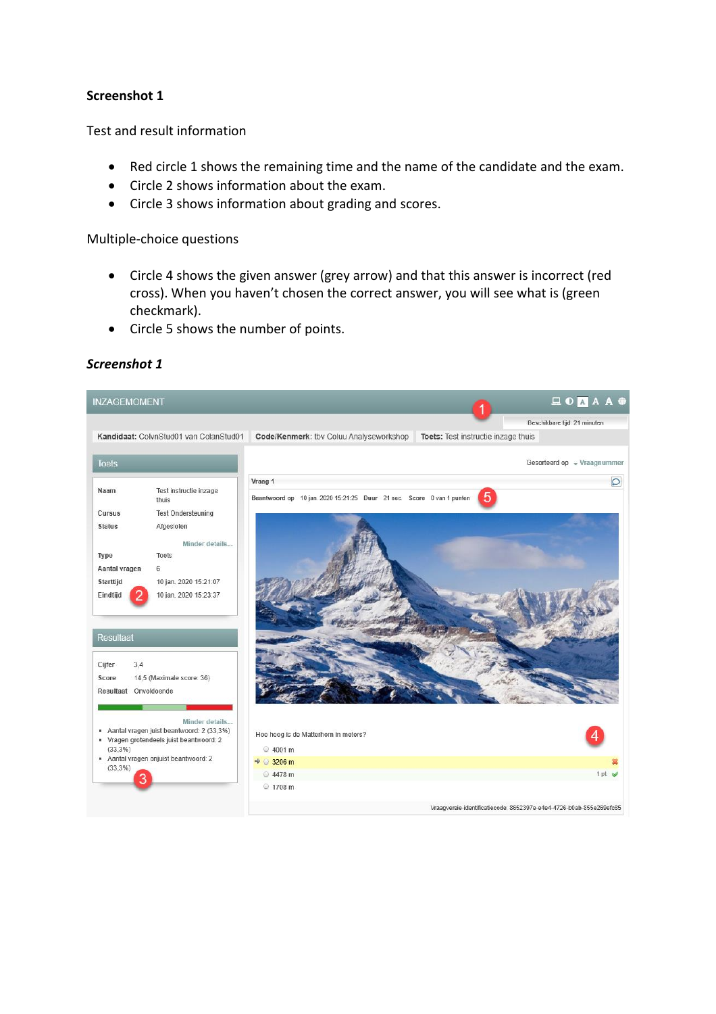# **Screenshot 1**

Test and result information

- Red circle 1 shows the remaining time and the name of the candidate and the exam.
- Circle 2 shows information about the exam.
- Circle 3 shows information about grading and scores.

Multiple-choice questions

- Circle 4 shows the given answer (grey arrow) and that this answer is incorrect (red cross). When you haven't chosen the correct answer, you will see what is (green checkmark).
- Circle 5 shows the number of points.



# *Screenshot 1*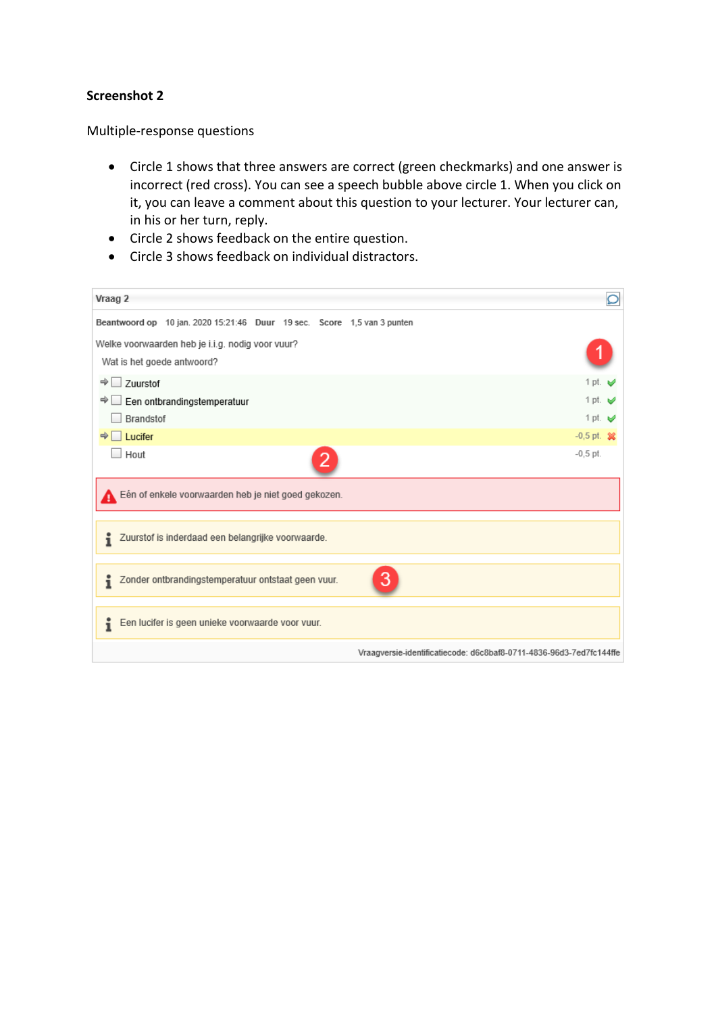# **Screenshot 2**

Multiple-response questions

- Circle 1 shows that three answers are correct (green checkmarks) and one answer is incorrect (red cross). You can see a speech bubble above circle 1. When you click on it, you can leave a comment about this question to your lecturer. Your lecturer can, in his or her turn, reply.
- Circle 2 shows feedback on the entire question.
- Circle 3 shows feedback on individual distractors.

| Vraag 2                                                                        |                                                                     |
|--------------------------------------------------------------------------------|---------------------------------------------------------------------|
| Beantwoord op 10 jan. 2020 15:21:46 Duur 19 sec. Score 1,5 van 3 punten        |                                                                     |
| Welke voorwaarden heb je i.i.g. nodig voor vuur?<br>Wat is het goede antwoord? |                                                                     |
| $\Rightarrow$ $\Box$<br>Zuurstof                                               | $1$ pt.<br>ಆ                                                        |
| → Li Een ontbrandingstemperatuur                                               | $1$ pt.<br>⊌                                                        |
| Brandstof                                                                      | 1 pt. $\vee$                                                        |
| $\Rightarrow$ Lucifer                                                          | $-0.5$ pt. $-26$                                                    |
| Hout                                                                           | $-0.5$ pt.                                                          |
| Eén of enkele voorwaarden heb je niet goed gekozen.                            |                                                                     |
| Zuurstof is inderdaad een belangrijke voorwaarde.                              |                                                                     |
| i<br>Zonder ontbrandingstemperatuur ontstaat geen vuur.                        | 3                                                                   |
| Een lucifer is geen unieke voorwaarde voor vuur.<br>ĩ                          |                                                                     |
|                                                                                | Vraagversie-identificatiecode: d6c8baf8-0711-4836-96d3-7ed7fc144ffe |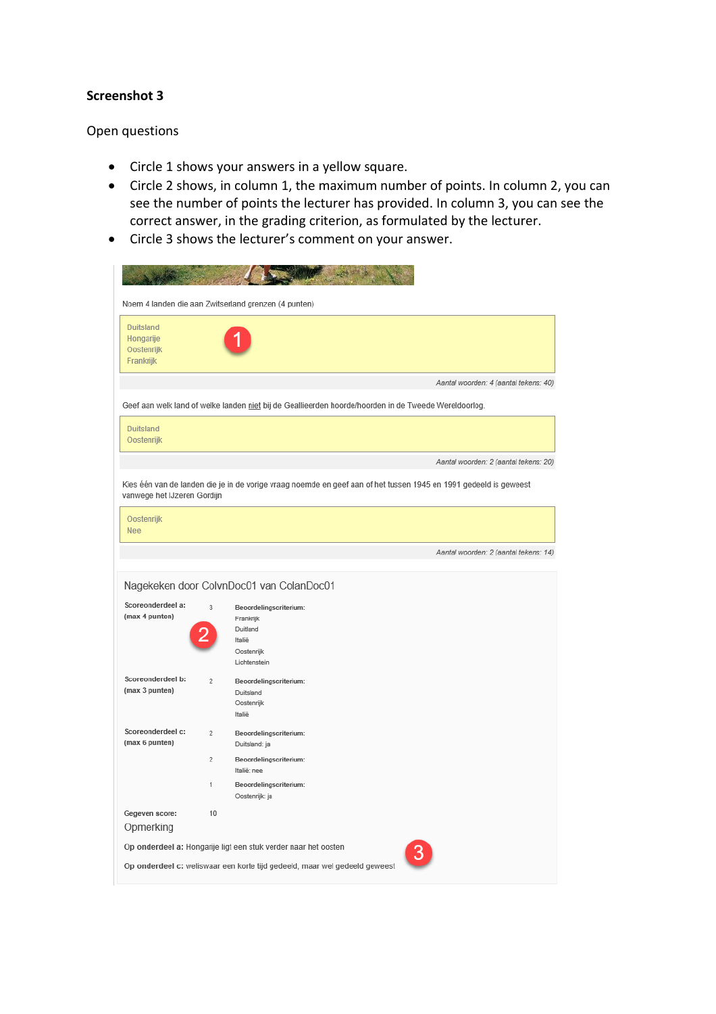#### **Screenshot 3**

#### Open questions

- Circle 1 shows your answers in a yellow square.
- Circle 2 shows, in column 1, the maximum number of points. In column 2, you can see the number of points the lecturer has provided. In column 3, you can see the correct answer, in the grading criterion, as formulated by the lecturer.
- Circle 3 shows the lecturer's comment on your answer.

|                                                          |                | Noem 4 landen die aan Zwitserland grenzen (4 punten)                                                              |
|----------------------------------------------------------|----------------|-------------------------------------------------------------------------------------------------------------------|
| <b>Duitsland</b><br>Hongarije<br>Oostenrijk<br>Frankrijk |                |                                                                                                                   |
|                                                          |                | Aantal woorden: 4 (aantal tekens: 40)                                                                             |
|                                                          |                | Geef aan welk land of welke landen niet bij de Geallieerden hoorde/hoorden in de Tweede Wereldoorlog.             |
| <b>Duitsland</b><br>Oostenrijk                           |                |                                                                                                                   |
|                                                          |                | Aantal woorden: 2 (aantal tekens: 20)                                                                             |
| vanwege het IJzeren Gordijn                              |                | Kies één van de landen die je in de vorige vraag noemde en geef aan of het tussen 1945 en 1991 gedeeld is geweest |
| Oostenrijk<br><b>Nee</b>                                 |                |                                                                                                                   |
|                                                          |                | Aantal woorden: 2 (aantal tekens: 14)                                                                             |
| Scoreonderdeel a:                                        | 3              | Nagekeken door ColvnDoc01 van ColanDoc01<br>Beoordelingscriterium:                                                |
| (max 4 punten)                                           |                | Frankrijk<br>Duitland<br>Italië<br>Oostenrijk<br>Lichtenstein                                                     |
| Scoreonderdeel b:<br>(max 3 punten)                      | $\overline{2}$ | Beoordelingscriterium:<br>Duitsland<br>Oostenrijk<br>Italië                                                       |
| Scoreonderdeel c:<br>(max 6 punten)                      | $\overline{2}$ | Beoordelingscriterium:<br>Duitsland: ja                                                                           |
|                                                          | $\overline{a}$ | Beoordelingscriterium:<br>Italië: nee                                                                             |
|                                                          | 1              | Beoordelingscriterium:<br>Oostenrijk: ja                                                                          |
| Gegeven score:<br>Opmerking                              | 10             |                                                                                                                   |
|                                                          |                | Op onderdeel a: Hongarije ligt een stuk verder naar het oosten<br>3                                               |
|                                                          |                | Op onderdeel c: weliswaar een korte tijd gedeeld, maar wel gedeeld geweest                                        |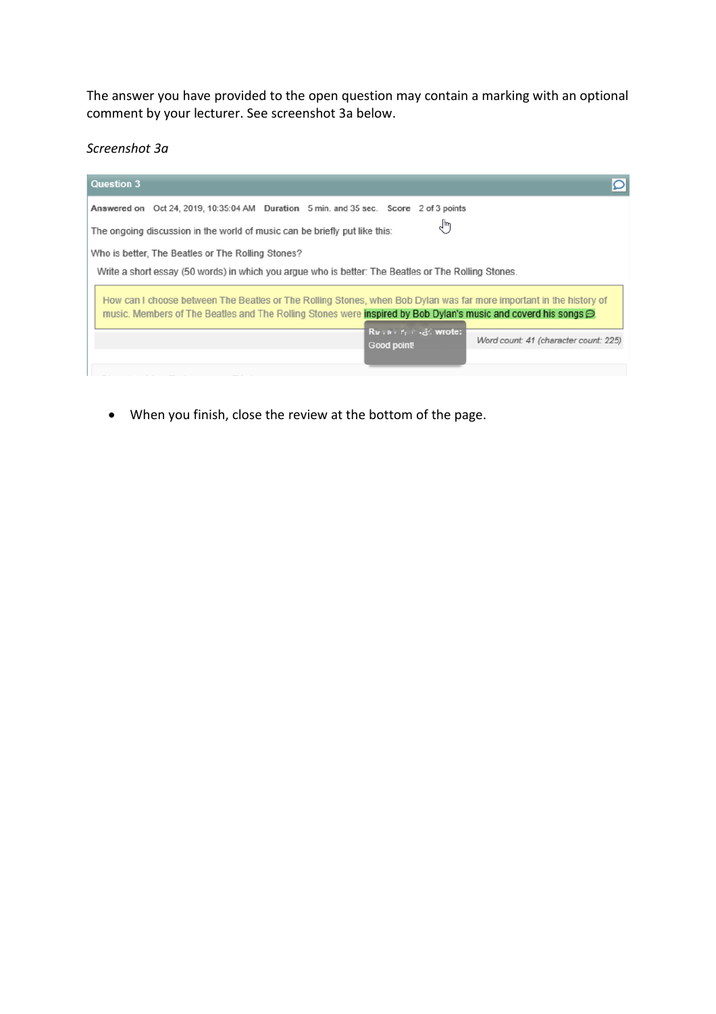The answer you have provided to the open question may contain a marking with an optional comment by your lecturer. See screenshot 3a below.

*Screenshot 3a* 

| Question 3<br>OI                                                                                                                                                                                                                             |
|----------------------------------------------------------------------------------------------------------------------------------------------------------------------------------------------------------------------------------------------|
| Answered on Oct 24, 2019, 10:35:04 AM Duration 5 min. and 35 sec. Score 2 of 3 points                                                                                                                                                        |
| վհյ<br>The ongoing discussion in the world of music can be briefly put like this:                                                                                                                                                            |
| Who is better. The Beatles or The Rolling Stones?                                                                                                                                                                                            |
| Write a short essay (50 words) in which you argue who is better: The Beatles or The Rolling Stones.                                                                                                                                          |
| How can I choose between The Beatles or The Rolling Stones, when Bob Dylan was far more important in the history of<br>music. Members of The Beatles and The Rolling Stones were inspired by Bob Dylan's music and coverd his songs $\oplus$ |
| $R_v$ , $v_i$ , $r_i$ , $r_i$ , wrote:<br>Word count: 41 (character count: 225)<br>Good point!                                                                                                                                               |

• When you finish, close the review at the bottom of the page.